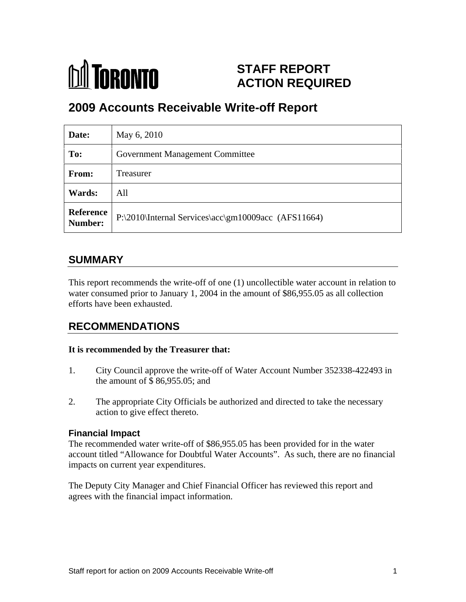

# **STAFF REPORT ACTION REQUIRED**

# **2009 Accounts Receivable Write-off Report**

| Date:  | May 6, 2010                                                   |
|--------|---------------------------------------------------------------|
| To:    | <b>Government Management Committee</b>                        |
| From:  | Treasurer                                                     |
| Wards: | All                                                           |
|        | Reference P:\2010\Internal Services\acc\gm10009acc (AFS11664) |

# **SUMMARY**

This report recommends the write-off of one (1) uncollectible water account in relation to water consumed prior to January 1, 2004 in the amount of \$86,955.05 as all collection efforts have been exhausted.

## **RECOMMENDATIONS**

### **It is recommended by the Treasurer that:**

- 1. City Council approve the write-off of Water Account Number 352338-422493 in the amount of \$ 86,955.05; and
- 2. The appropriate City Officials be authorized and directed to take the necessary action to give effect thereto.

### **Financial Impact**

The recommended water write-off of \$86,955.05 has been provided for in the water account titled "Allowance for Doubtful Water Accounts". As such, there are no financial impacts on current year expenditures.

The Deputy City Manager and Chief Financial Officer has reviewed this report and agrees with the financial impact information.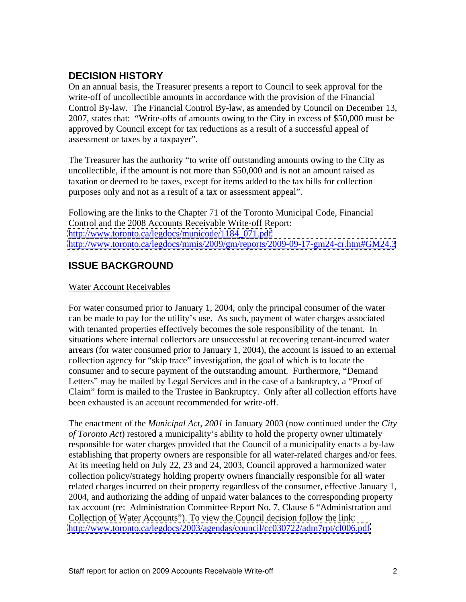## **DECISION HISTORY**

On an annual basis, the Treasurer presents a report to Council to seek approval for the write-off of uncollectible amounts in accordance with the provision of the Financial Control By-law. The Financial Control By-law, as amended by Council on December 13, 2007, states that: "Write-offs of amounts owing to the City in excess of \$50,000 must be approved by Council except for tax reductions as a result of a successful appeal of assessment or taxes by a taxpayer".

The Treasurer has the authority "to write off outstanding amounts owing to the City as uncollectible, if the amount is not more than \$50,000 and is not an amount raised as taxation or deemed to be taxes, except for items added to the tax bills for collection purposes only and not as a result of a tax or assessment appeal".

Following are the links to the Chapter 71 of the Toronto Municipal Code, Financial Control and the 2008 Accounts Receivable Write-off Report: [http://www.toronto.ca/legdocs/municode/1184\\_071.pdf](http://www.toronto.ca/legdocs/municode/1184_071.pdf) <http://www.toronto.ca/legdocs/mmis/2009/gm/reports/2009-09-17-gm24-cr.htm#GM24.3>

## **ISSUE BACKGROUND**

#### Water Account Receivables

For water consumed prior to January 1, 2004, only the principal consumer of the water can be made to pay for the utility's use. As such, payment of water charges associated with tenanted properties effectively becomes the sole responsibility of the tenant. In situations where internal collectors are unsuccessful at recovering tenant-incurred water arrears (for water consumed prior to January 1, 2004), the account is issued to an external collection agency for "skip trace" investigation, the goal of which is to locate the consumer and to secure payment of the outstanding amount. Furthermore, "Demand Letters" may be mailed by Legal Services and in the case of a bankruptcy, a "Proof of Claim" form is mailed to the Trustee in Bankruptcy. Only after all collection efforts have been exhausted is an account recommended for write-off.

The enactment of the *Municipal Act, 2001* in January 2003 (now continued under the *City of Toronto Act*) restored a municipality's ability to hold the property owner ultimately responsible for water charges provided that the Council of a municipality enacts a by-law establishing that property owners are responsible for all water-related charges and/or fees. At its meeting held on July 22, 23 and 24, 2003, Council approved a harmonized water collection policy/strategy holding property owners financially responsible for all water related charges incurred on their property regardless of the consumer, effective January 1, 2004, and authorizing the adding of unpaid water balances to the corresponding property tax account (re: Administration Committee Report No. 7, Clause 6 "Administration and Collection of Water Accounts"). To view the Council decision follow the link: <http://www.toronto.ca/legdocs/2003/agendas/council/cc030722/adm7rpt/cl006.pdf>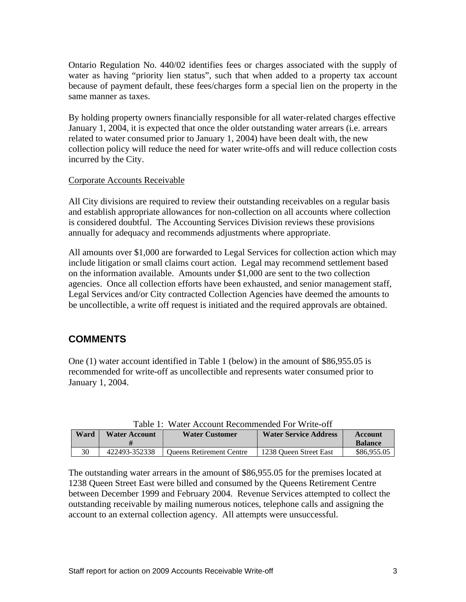Ontario Regulation No. 440/02 identifies fees or charges associated with the supply of water as having "priority lien status", such that when added to a property tax account because of payment default, these fees/charges form a special lien on the property in the same manner as taxes.

By holding property owners financially responsible for all water-related charges effective January 1, 2004, it is expected that once the older outstanding water arrears (i.e. arrears related to water consumed prior to January 1, 2004) have been dealt with, the new collection policy will reduce the need for water write-offs and will reduce collection costs incurred by the City.

#### Corporate Accounts Receivable

All City divisions are required to review their outstanding receivables on a regular basis and establish appropriate allowances for non-collection on all accounts where collection is considered doubtful. The Accounting Services Division reviews these provisions annually for adequacy and recommends adjustments where appropriate.

All amounts over \$1,000 are forwarded to Legal Services for collection action which may include litigation or small claims court action. Legal may recommend settlement based on the information available. Amounts under \$1,000 are sent to the two collection agencies. Once all collection efforts have been exhausted, and senior management staff, Legal Services and/or City contracted Collection Agencies have deemed the amounts to be uncollectible, a write off request is initiated and the required approvals are obtained.

## **COMMENTS**

One (1) water account identified in Table 1 (below) in the amount of \$86,955.05 is recommended for write-off as uncollectible and represents water consumed prior to January 1, 2004.

|               | rabie r.<br>$\sim$ water Account Recommended For write-off |                          |                        |                |  |
|---------------|------------------------------------------------------------|--------------------------|------------------------|----------------|--|
|               | Ward   Water Account                                       | <b>Water Customer</b>    | Water Service Address  | <b>Account</b> |  |
|               |                                                            |                          |                        | <b>Balance</b> |  |
| $\cup$ $\cup$ | $12493 - 35222$                                            | Queens Retirement Centre | 1238 Queen Street East | \$86,955.05    |  |

Table 1: Water Account Recommended For Write-off

The outstanding water arrears in the amount of \$86,955.05 for the premises located at 1238 Queen Street East were billed and consumed by the Queens Retirement Centre between December 1999 and February 2004. Revenue Services attempted to collect the outstanding receivable by mailing numerous notices, telephone calls and assigning the account to an external collection agency. All attempts were unsuccessful.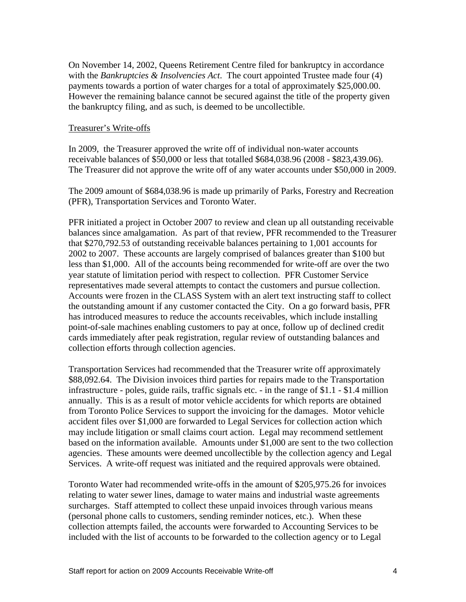On November 14, 2002, Queens Retirement Centre filed for bankruptcy in accordance with the *Bankruptcies & Insolvencies Act*. The court appointed Trustee made four (4) payments towards a portion of water charges for a total of approximately \$25,000.00. However the remaining balance cannot be secured against the title of the property given the bankruptcy filing, and as such, is deemed to be uncollectible.

#### Treasurer's Write-offs

In 2009, the Treasurer approved the write off of individual non-water accounts receivable balances of \$50,000 or less that totalled \$684,038.96 (2008 - \$823,439.06). The Treasurer did not approve the write off of any water accounts under \$50,000 in 2009.

The 2009 amount of \$684,038.96 is made up primarily of Parks, Forestry and Recreation (PFR), Transportation Services and Toronto Water.

PFR initiated a project in October 2007 to review and clean up all outstanding receivable balances since amalgamation. As part of that review, PFR recommended to the Treasurer that \$270,792.53 of outstanding receivable balances pertaining to 1,001 accounts for 2002 to 2007. These accounts are largely comprised of balances greater than \$100 but less than \$1,000. All of the accounts being recommended for write-off are over the two year statute of limitation period with respect to collection. PFR Customer Service representatives made several attempts to contact the customers and pursue collection. Accounts were frozen in the CLASS System with an alert text instructing staff to collect the outstanding amount if any customer contacted the City. On a go forward basis, PFR has introduced measures to reduce the accounts receivables, which include installing point-of-sale machines enabling customers to pay at once, follow up of declined credit cards immediately after peak registration, regular review of outstanding balances and collection efforts through collection agencies.

Transportation Services had recommended that the Treasurer write off approximately \$88,092.64. The Division invoices third parties for repairs made to the Transportation infrastructure - poles, guide rails, traffic signals etc. - in the range of \$1.1 - \$1.4 million annually. This is as a result of motor vehicle accidents for which reports are obtained from Toronto Police Services to support the invoicing for the damages. Motor vehicle accident files over \$1,000 are forwarded to Legal Services for collection action which may include litigation or small claims court action. Legal may recommend settlement based on the information available. Amounts under \$1,000 are sent to the two collection agencies. These amounts were deemed uncollectible by the collection agency and Legal Services. A write-off request was initiated and the required approvals were obtained.

Toronto Water had recommended write-offs in the amount of \$205,975.26 for invoices relating to water sewer lines, damage to water mains and industrial waste agreements surcharges. Staff attempted to collect these unpaid invoices through various means (personal phone calls to customers, sending reminder notices, etc.). When these collection attempts failed, the accounts were forwarded to Accounting Services to be included with the list of accounts to be forwarded to the collection agency or to Legal